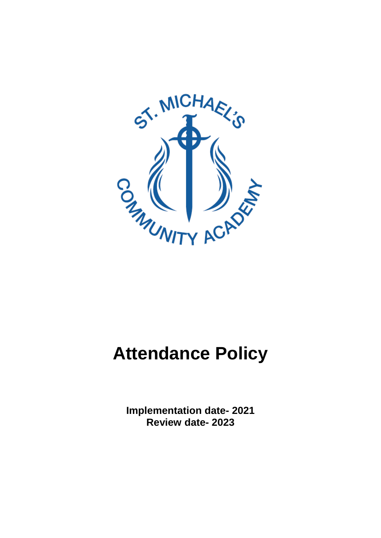

# **Attendance Policy**

**Implementation date- 2021 Review date- 2023**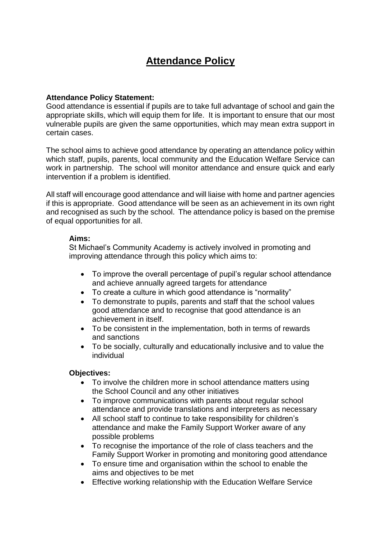# **Attendance Policy**

# **Attendance Policy Statement:**

Good attendance is essential if pupils are to take full advantage of school and gain the appropriate skills, which will equip them for life. It is important to ensure that our most vulnerable pupils are given the same opportunities, which may mean extra support in certain cases.

The school aims to achieve good attendance by operating an attendance policy within which staff, pupils, parents, local community and the Education Welfare Service can work in partnership. The school will monitor attendance and ensure quick and early intervention if a problem is identified.

All staff will encourage good attendance and will liaise with home and partner agencies if this is appropriate. Good attendance will be seen as an achievement in its own right and recognised as such by the school. The attendance policy is based on the premise of equal opportunities for all.

## **Aims:**

St Michael's Community Academy is actively involved in promoting and improving attendance through this policy which aims to:

- To improve the overall percentage of pupil's regular school attendance and achieve annually agreed targets for attendance
- To create a culture in which good attendance is "normality"
- To demonstrate to pupils, parents and staff that the school values good attendance and to recognise that good attendance is an achievement in itself.
- To be consistent in the implementation, both in terms of rewards and sanctions
- To be socially, culturally and educationally inclusive and to value the individual

## **Objectives:**

- To involve the children more in school attendance matters using the School Council and any other initiatives
- To improve communications with parents about regular school attendance and provide translations and interpreters as necessary
- All school staff to continue to take responsibility for children's attendance and make the Family Support Worker aware of any possible problems
- To recognise the importance of the role of class teachers and the Family Support Worker in promoting and monitoring good attendance
- To ensure time and organisation within the school to enable the aims and objectives to be met
- Effective working relationship with the Education Welfare Service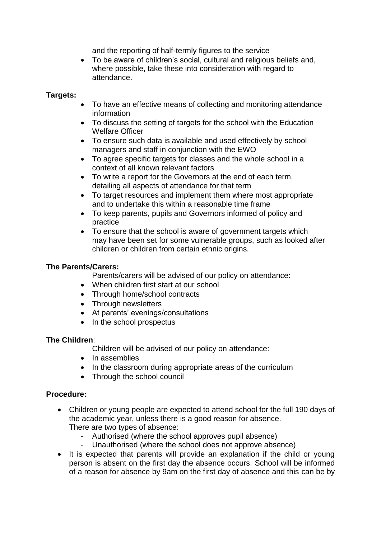and the reporting of half-termly figures to the service

 To be aware of children's social, cultural and religious beliefs and, where possible, take these into consideration with regard to attendance.

# **Targets:**

- To have an effective means of collecting and monitoring attendance information
- To discuss the setting of targets for the school with the Education Welfare Officer
- To ensure such data is available and used effectively by school managers and staff in conjunction with the EWO
- To agree specific targets for classes and the whole school in a context of all known relevant factors
- To write a report for the Governors at the end of each term, detailing all aspects of attendance for that term
- To target resources and implement them where most appropriate and to undertake this within a reasonable time frame
- To keep parents, pupils and Governors informed of policy and practice
- To ensure that the school is aware of government targets which may have been set for some vulnerable groups, such as looked after children or children from certain ethnic origins.

# **The Parents/Carers:**

Parents/carers will be advised of our policy on attendance:

- When children first start at our school
- Through home/school contracts
- Through newsletters
- At parents' evenings/consultations
- In the school prospectus

# **The Children**:

Children will be advised of our policy on attendance:

- In assemblies
- In the classroom during appropriate areas of the curriculum
- Through the school council

## **Procedure:**

- Children or young people are expected to attend school for the full 190 days of the academic year, unless there is a good reason for absence. There are two types of absence:
	- Authorised (where the school approves pupil absence)
	- Unauthorised (where the school does not approve absence)
- It is expected that parents will provide an explanation if the child or young person is absent on the first day the absence occurs. School will be informed of a reason for absence by 9am on the first day of absence and this can be by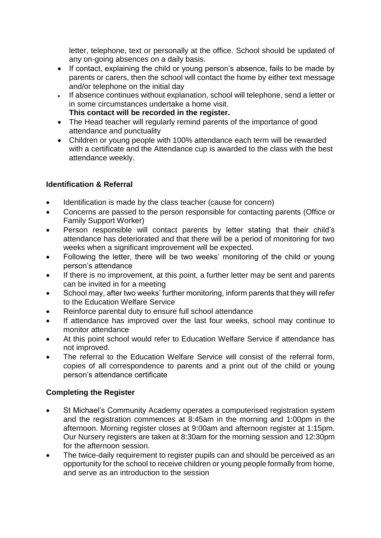letter, telephone, text or personally at the office. School should be updated of any on-going absences on a daily basis.

- If contact, explaining the child or young person's absence, fails to be made by parents or carers, then the school will contact the home by either text message and/or telephone on the initial day
- If absence continues without explanation, school will telephone, send a letter or in some circumstances undertake a home visit.
	- **This contact will be recorded in the register.**
- The Head teacher will regularly remind parents of the importance of good attendance and punctuality
- Children or young people with 100% attendance each term will be rewarded with a certificate and the Attendance cup is awarded to the class with the best attendance weekly.

# **Identification & Referral**

- Identification is made by the class teacher (cause for concern)
- Concerns are passed to the person responsible for contacting parents (Office or Family Support Worker)
- Person responsible will contact parents by letter stating that their child's attendance has deteriorated and that there will be a period of monitoring for two weeks when a significant improvement will be expected.
- Following the letter, there will be two weeks' monitoring of the child or young person's attendance
- If there is no improvement, at this point, a further letter may be sent and parents can be invited in for a meeting
- School may, after two weeks' further monitoring, inform parents that they will refer to the Education Welfare Service
- Reinforce parental duty to ensure full school attendance
- If attendance has improved over the last four weeks, school may continue to monitor attendance
- At this point school would refer to Education Welfare Service if attendance has not improved.
- The referral to the Education Welfare Service will consist of the referral form, copies of all correspondence to parents and a print out of the child or young person's attendance certificate

# **Completing the Register**

- St Michael's Community Academy operates a computerised registration system and the registration commences at 8:45am in the morning and 1:00pm in the afternoon. Morning register closes at 9:00am and afternoon register at 1:15pm. Our Nursery registers are taken at 8:30am for the morning session and 12:30pm for the afternoon session.
- The twice-daily requirement to register pupils can and should be perceived as an opportunity for the school to receive children or young people formally from home, and serve as an introduction to the session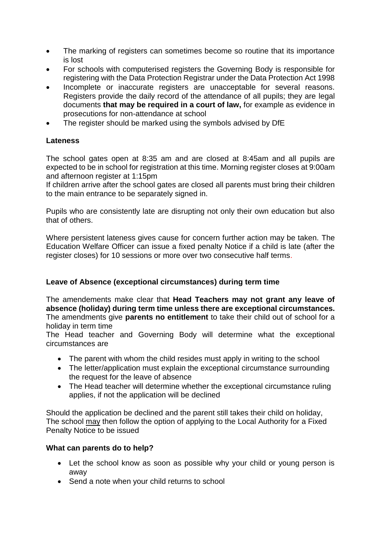- The marking of registers can sometimes become so routine that its importance is lost
- For schools with computerised registers the Governing Body is responsible for registering with the Data Protection Registrar under the Data Protection Act 1998
- Incomplete or inaccurate registers are unacceptable for several reasons. Registers provide the daily record of the attendance of all pupils; they are legal documents **that may be required in a court of law,** for example as evidence in prosecutions for non-attendance at school
- The register should be marked using the symbols advised by DfE

# **Lateness**

The school gates open at 8:35 am and are closed at 8:45am and all pupils are expected to be in school for registration at this time. Morning register closes at 9:00am and afternoon register at 1:15pm

If children arrive after the school gates are closed all parents must bring their children to the main entrance to be separately signed in.

Pupils who are consistently late are disrupting not only their own education but also that of others.

Where persistent lateness gives cause for concern further action may be taken. The Education Welfare Officer can issue a fixed penalty Notice if a child is late (after the register closes) for 10 sessions or more over two consecutive half terms.

# **Leave of Absence (exceptional circumstances) during term time**

The amendements make clear that **Head Teachers may not grant any leave of absence (holiday) during term time unless there are exceptional circumstances.**  The amendments give **parents no entitlement** to take their child out of school for a holiday in term time

The Head teacher and Governing Body will determine what the exceptional circumstances are

- The parent with whom the child resides must apply in writing to the school
- The letter/application must explain the exceptional circumstance surrounding the request for the leave of absence
- The Head teacher will determine whether the exceptional circumstance ruling applies, if not the application will be declined

Should the application be declined and the parent still takes their child on holiday, The school may then follow the option of applying to the Local Authority for a Fixed Penalty Notice to be issued

## **What can parents do to help?**

- Let the school know as soon as possible why your child or young person is away
- Send a note when your child returns to school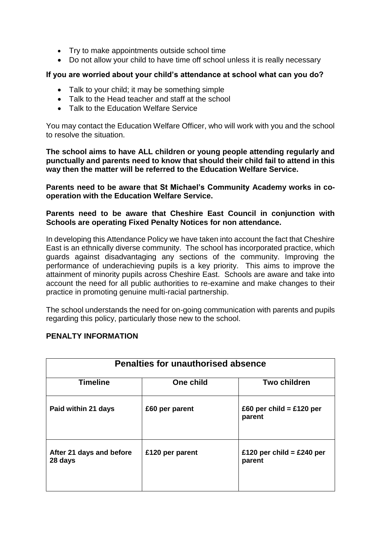- Try to make appointments outside school time
- Do not allow your child to have time off school unless it is really necessary

# **If you are worried about your child's attendance at school what can you do?**

- Talk to your child; it may be something simple
- Talk to the Head teacher and staff at the school
- Talk to the Education Welfare Service

You may contact the Education Welfare Officer, who will work with you and the school to resolve the situation.

**The school aims to have ALL children or young people attending regularly and punctually and parents need to know that should their child fail to attend in this way then the matter will be referred to the Education Welfare Service.**

**Parents need to be aware that St Michael's Community Academy works in cooperation with the Education Welfare Service.**

# **Parents need to be aware that Cheshire East Council in conjunction with Schools are operating Fixed Penalty Notices for non attendance.**

In developing this Attendance Policy we have taken into account the fact that Cheshire East is an ethnically diverse community. The school has incorporated practice, which guards against disadvantaging any sections of the community. Improving the performance of underachieving pupils is a key priority. This aims to improve the attainment of minority pupils across Cheshire East. Schools are aware and take into account the need for all public authorities to re-examine and make changes to their practice in promoting genuine multi-racial partnership.

The school understands the need for on-going communication with parents and pupils regarding this policy, particularly those new to the school.

| <b>Penalties for unauthorised absence</b> |                 |                                      |  |
|-------------------------------------------|-----------------|--------------------------------------|--|
| <b>Timeline</b>                           | One child       | <b>Two children</b>                  |  |
| Paid within 21 days                       | £60 per parent  | £60 per child = $£120$ per<br>parent |  |
| After 21 days and before<br>28 days       | £120 per parent | £120 per child = £240 per<br>parent  |  |

# **PENALTY INFORMATION**